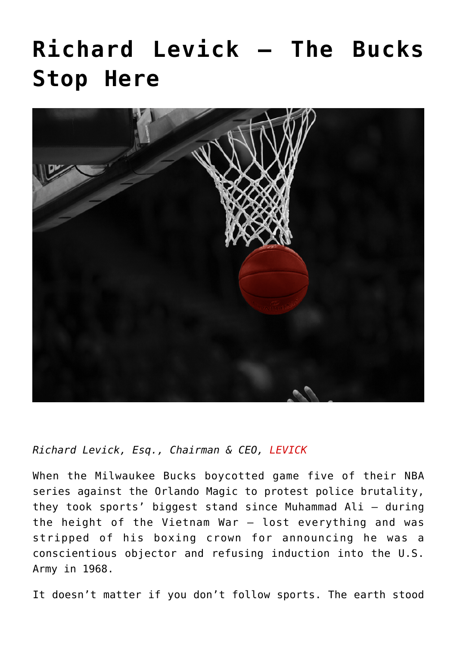## **[Richard Levick – The Bucks](https://www.commpro.biz/richard-levick-the-bucks-stop-here/) [Stop Here](https://www.commpro.biz/richard-levick-the-bucks-stop-here/)**



## *Richard Levick, Esq., Chairman & CEO, [LEVICK](https://levick.com/)*

When the Milwaukee Bucks boycotted game five of their NBA series against the Orlando Magic to protest police brutality, they took sports' biggest stand since Muhammad Ali – during the height of the Vietnam War – lost everything and was stripped of his boxing crown for announcing he was a conscientious objector and refusing induction into the U.S. Army in 1968.

It doesn't matter if you don't follow sports. The earth stood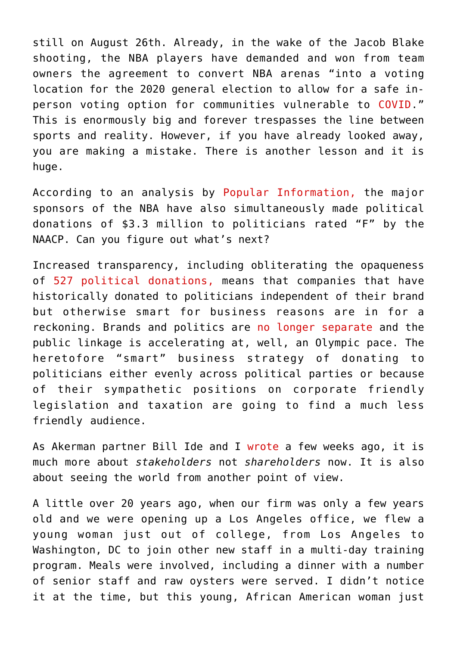still on August 26th. Already, in the wake of the Jacob Blake shooting, the NBA players have demanded and won from team owners the agreement to convert NBA arenas "into a voting location for the 2020 general election to allow for a safe inperson voting option for communities vulnerable to [COVID](https://www.commpro.biz/?s=covid)." This is enormously big and forever trespasses the line between sports and reality. However, if you have already looked away, you are making a mistake. There is another lesson and it is huge.

According to an analysis by [Popular Information,](https://popular.info/p/the-nbas-corporate-sponsors-donated?token=eyJ1c2VyX2lkIjoyODIyODc0LCJwb3N0X2lkIjoxMDQ4MjQ3LCJfIjoiMDF5V2wiLCJpYXQiOjE1OTk1NzExODMsImV4cCI6MTU5OTU3NDc4MywiaXNzIjoicHViLTE2NjQiLCJzdWIiOiJwb3N0LXJlYWN0aW9uIn0.MqAnmMwC0qQWT0Ygvly9CHRw_9c2VsWtIReaPhVaYu8) the major sponsors of the NBA have also simultaneously made political donations of \$3.3 million to politicians rated "F" by the NAACP. Can you figure out what's next?

Increased transparency, including obliterating the opaqueness of [527 political donations,](https://levick.com/blog/public-affairs/the-age-of-transparent-political-donations-is-upon-us) means that companies that have historically donated to politicians independent of their brand but otherwise smart for business reasons are in for a reckoning. Brands and politics are [no longer separate](https://levick.com/blog/this-week/webinar-the-end-of-brand-neutrality-2) and the public linkage is accelerating at, well, an Olympic pace. The heretofore "smart" business strategy of donating to politicians either evenly across political parties or because of their sympathetic positions on corporate friendly legislation and taxation are going to find a much less friendly audience.

As Akerman partner Bill Ide and I [wrote](https://levick.com/blog/crisis/shareholders-vs-stakeholders-is-the-paradigm-shifting) a few weeks ago, it is much more about *stakeholders* not *shareholders* now. It is also about seeing the world from another point of view.

A little over 20 years ago, when our firm was only a few years old and we were opening up a Los Angeles office, we flew a young woman just out of college, from Los Angeles to Washington, DC to join other new staff in a multi-day training program. Meals were involved, including a dinner with a number of senior staff and raw oysters were served. I didn't notice it at the time, but this young, African American woman just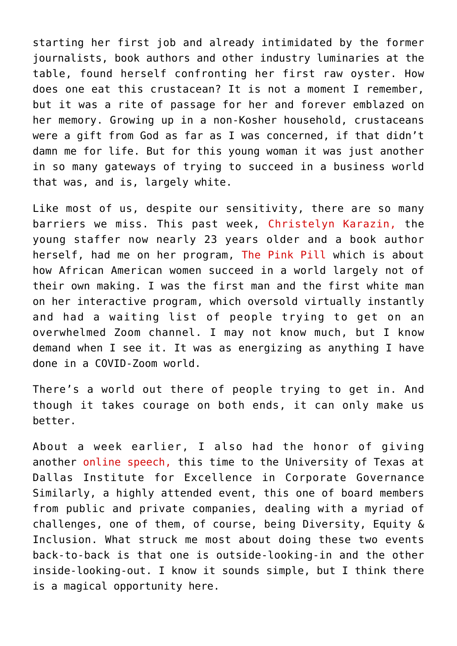starting her first job and already intimidated by the former journalists, book authors and other industry luminaries at the table, found herself confronting her first raw oyster. How does one eat this crustacean? It is not a moment I remember, but it was a rite of passage for her and forever emblazed on her memory. Growing up in a non-Kosher household, crustaceans were a gift from God as far as I was concerned, if that didn't damn me for life. But for this young woman it was just another in so many gateways of trying to succeed in a business world that was, and is, largely white.

Like most of us, despite our sensitivity, there are so many barriers we miss. This past week, [Christelyn Karazin](https://christelynkarazin.com/?fbclid=IwAR2aJYukiGC5JY3oAUZT3Jc4REtoL0BpdAzgwGt3wAA8m5MMJbV1eOHAhRs), the young staffer now nearly 23 years older and a book author herself, had me on her program, [The Pink Pill](https://bbwschool.teachable.com/p/the-pink-pill) which is about how African American women succeed in a world largely not of their own making. I was the first man and the first white man on her interactive program, which oversold virtually instantly and had a waiting list of people trying to get on an overwhelmed Zoom channel. I may not know much, but I know demand when I see it. It was as energizing as anything I have done in a COVID-Zoom world.

There's a world out there of people trying to get in. And though it takes courage on both ends, it can only make us better.

About a week earlier, I also had the honor of giving another [online speech](https://jindal.utdallas.edu/centers-of-excellence/iecg/), this time to the University of Texas at Dallas Institute for Excellence in Corporate Governance Similarly, a highly attended event, this one of board members from public and private companies, dealing with a myriad of challenges, one of them, of course, being Diversity, Equity & Inclusion. What struck me most about doing these two events back-to-back is that one is outside-looking-in and the other inside-looking-out. I know it sounds simple, but I think there is a magical opportunity here.